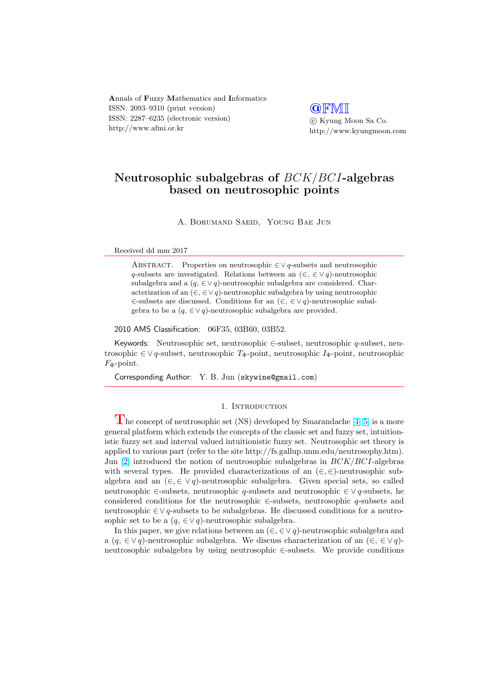Annals of Fuzzy Mathematics and Informatics ISSN: 2093–9310 (print version) ISSN: 2287–6235 (electronic version) http://www.afmi.or.kr

**QFMI** °c Kyung Moon Sa Co. http://www.kyungmoon.com

# Neutrosophic subalgebras of BCK/BCI-algebras based on neutrosophic points

A. Borumand Saeid, Young Bae Jun

Received dd mm 2017

ABSTRACT. Properties on neutrosophic  $\in \vee$  q-subsets and neutrosophic q-subsets are investigated. Relations between an  $(\in, \in \vee q)$ -neutrosophic subalgebra and a  $(q, \in \vee q)$ -neutrosophic subalgebra are considered. Characterization of an  $(\in, \in \vee q)$ -neutrosophic subalgebra by using neutrosophic ∈-subsets are discussed. Conditions for an (∈, ∈ ∨ q)-neutrosophic subalgebra to be a  $(q, \in \vee q)$ -neutrosophic subalgebra are provided.

2010 AMS Classification: 06F35, 03B60, 03B52.

Keywords: Neutrosophic set, neutrosophic ∈-subset, neutrosophic q-subset, neutrosophic  $\in \vee q$ -subset, neutrosophic  $T_{\Phi}$ -point, neutrosophic  $I_{\Phi}$ -point, neutrosophic  $F_{\Phi}$ -point.

Corresponding Author: Y. B. Jun (skywine@gmail.com)

#### 1. INTRODUCTION

The concept of neutrosophic set (NS) developed by Smarandache  $[4, 5]$  $[4, 5]$  $[4, 5]$  is a more general platform which extends the concepts of the classic set and fuzzy set, intuitionistic fuzzy set and interval valued intuitionistic fuzzy set. Neutrosophic set theory is applied to various part (refer to the site http://fs.gallup.unm.edu/neutrosophy.htm). Jun [\[2\]](#page-9-0) introduced the notion of neutrosophic subalgebras in  $BCK/BCI$ -algebras with several types. He provided characterizations of an  $(\in, \in)$ -neutrosophic subalgebra and an  $(\in, \in \vee q)$ -neutrosophic subalgebra. Given special sets, so called neutrosophic ∈-subsets, neutrosophic q-subsets and neutrosophic ∈ ∨ q-subsets, he considered conditions for the neutrosophic  $\in$ -subsets, neutrosophic q-subsets and neutrosophic ∈∨ q-subsets to be subalgebras. He discussed conditions for a neutrosophic set to be a  $(q, \in \vee q)$ -neutrosophic subalgebra.

In this paper, we give relations between an  $(\in, \in \vee q)$ -neutrosophic subalgebra and a ( $q \in \vee q$ )-neutrosophic subalgebra. We discuss characterization of an ( $\in \in \vee q$ )neutrosophic subalgebra by using neutrosophic ∈-subsets. We provide conditions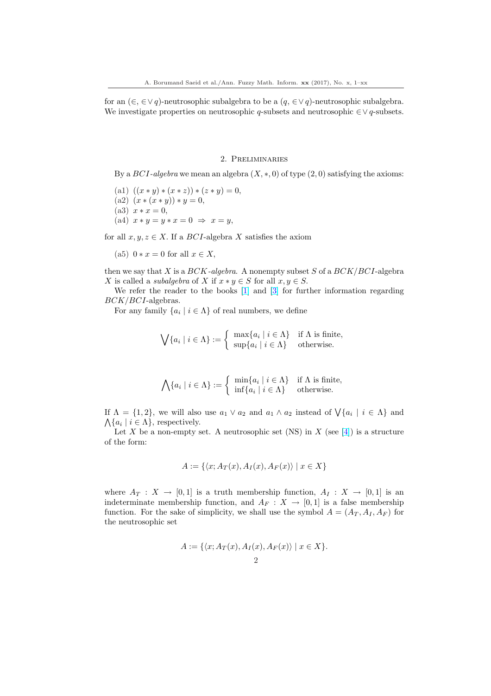for an  $(\in, \in \vee q)$ -neutrosophic subalgebra to be a  $(q, \in \vee q)$ -neutrosophic subalgebra. We investigate properties on neutrosophic  $q$ -subsets and neutrosophic  $\in \vee q$ -subsets.

## 2. Preliminaries

By a  $BCI$ -algebra we mean an algebra  $(X, \ast, 0)$  of type  $(2, 0)$  satisfying the axioms:

- (a1)  $((x * y) * (x * z)) * (z * y) = 0,$
- (a2)  $(x * (x * y)) * y = 0,$
- (a3)  $x * x = 0$ ,
- (a4)  $x * y = y * x = 0 \Rightarrow x = y$ ,

for all  $x, y, z \in X$ . If a  $BCI$ -algebra X satisfies the axiom

(a5)  $0 * x = 0$  for all  $x \in X$ ,

then we say that X is a  $BCK$ -algebra. A nonempty subset S of a  $BCK/BCI$ -algebra X is called a *subalgebra* of X if  $x * y \in S$  for all  $x, y \in S$ .

We refer the reader to the books [\[1\]](#page-9-0) and [\[3\]](#page-9-0) for further information regarding BCK/BCI-algebras.

For any family  $\{a_i \mid i \in \Lambda\}$  of real numbers, we define

$$
\bigvee \{a_i \mid i \in \Lambda\} := \left\{ \begin{array}{ll} \max \{a_i \mid i \in \Lambda\} & \text{if } \Lambda \text{ is finite,} \\ \sup \{a_i \mid i \in \Lambda\} & \text{otherwise.} \end{array} \right.
$$

$$
\bigwedge \{a_i \mid i \in \Lambda\} := \left\{ \begin{array}{ll} \min \{a_i \mid i \in \Lambda\} & \text{if } \Lambda \text{ is finite,} \\ \inf \{a_i \mid i \in \Lambda\} & \text{otherwise.} \end{array} \right.
$$

If  $\Lambda = \{1, 2\}$ , we will also use  $a_1 \vee a_2$  and  $a_1 \wedge a_2$  instead of  $\bigvee \{a_i \mid i \in \Lambda\}$  and  $\{a_i \mid i \in \Lambda\}$ , respectively.

Let X be a non-empty set. A neutrosophic set (NS) in X (see [\[4\]](#page-9-0)) is a structure of the form:

$$
A := \{ \langle x; A_T(x), A_I(x), A_F(x) \rangle \mid x \in X \}
$$

where  $A_T : X \to [0,1]$  is a truth membership function,  $A_I : X \to [0,1]$  is an indeterminate membership function, and  $A_F : X \to [0,1]$  is a false membership function. For the sake of simplicity, we shall use the symbol  $A = (A_T, A_I, A_F)$  for the neutrosophic set

$$
A := \{ \langle x; A_T(x), A_I(x), A_F(x) \rangle \mid x \in X \}.
$$
  
2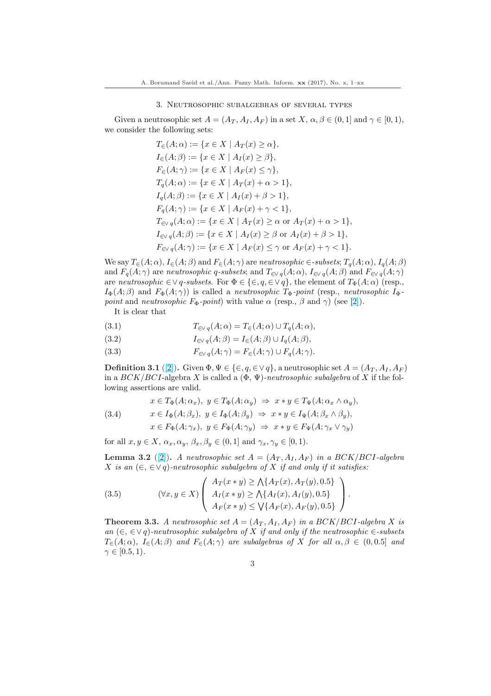### 3. Neutrosophic subalgebras of several types

<span id="page-2-0"></span>Given a neutrosophic set  $A = (A_T, A_I, A_F)$  in a set  $X, \alpha, \beta \in (0, 1]$  and  $\gamma \in [0, 1)$ , we consider the following sets:

$$
T_{\in}(A; \alpha) := \{x \in X \mid A_T(x) \ge \alpha\},
$$
  
\n
$$
I_{\in}(A; \beta) := \{x \in X \mid A_I(x) \ge \beta\},
$$
  
\n
$$
F_{\in}(A; \gamma) := \{x \in X \mid A_F(x) \le \gamma\},
$$
  
\n
$$
T_q(A; \alpha) := \{x \in X \mid A_T(x) + \alpha > 1\},
$$
  
\n
$$
I_q(A; \beta) := \{x \in X \mid A_I(x) + \beta > 1\},
$$
  
\n
$$
F_q(A; \gamma) := \{x \in X \mid A_F(x) + \gamma < 1\},
$$
  
\n
$$
T_{\in \vee q}(A; \alpha) := \{x \in X \mid A_T(x) \ge \alpha \text{ or } A_T(x) + \alpha > 1\},
$$
  
\n
$$
I_{\in \vee q}(A; \beta) := \{x \in X \mid A_I(x) \ge \beta \text{ or } A_I(x) + \beta > 1\},
$$
  
\n
$$
F_{\in \vee q}(A; \gamma) := \{x \in X \mid A_F(x) \le \gamma \text{ or } A_F(x) + \gamma < 1\}.
$$

We say  $T_{\in}(A; \alpha)$ ,  $I_{\in}(A; \beta)$  and  $F_{\in}(A; \gamma)$  are *neutrosophic*  $\in$ -subsets;  $T_q(A; \alpha)$ ,  $I_q(A; \beta)$ and  $F_q(A; \gamma)$  are neutrosophic q-subsets; and  $T_{\in \gamma q}(A; \alpha)$ ,  $I_{\in \gamma q}(A; \beta)$  and  $F_{\in \gamma q}(A; \gamma)$ are neutrosophic  $\in \vee q$ -subsets. For  $\Phi \in \{\in, q, \in \vee q\}$ , the element of  $T_{\Phi}(A; \alpha)$  (resp.,  $I_{\Phi}(A;\beta)$  and  $F_{\Phi}(A;\gamma)$ ) is called a *neutrosophic*  $T_{\Phi}$ -point (resp., *neutrosophic*  $I_{\Phi}$ point and neutrosophic  $F_{\Phi}$ -point) with value  $\alpha$  (resp.,  $\beta$  and  $\gamma$ ) (see [\[2\]](#page-9-0)).

It is clear that

(3.1) 
$$
T_{\in \mathcal{V}q}(A;\alpha) = T_{\in}(A;\alpha) \cup T_q(A;\alpha),
$$

(3.2) 
$$
I_{\in Vq}(A;\beta) = I_{\in}(A;\beta) \cup I_{q}(A;\beta),
$$

(3.3)  $F_{\in \mathcal{N}}(A;\gamma) = F_{\in}(A;\gamma) \cup F_{q}(A;\gamma).$ 

**Definition 3.1** ([\[2\]](#page-9-0)). Given  $\Phi, \Psi \in \{\in, q \in \forall q\}$ , a neutrosophic set  $A = (A_T, A_I, A_F)$ in a  $BCK/BCI$ -algebra X is called a  $(\Phi, \Psi)$ -neutrosophic subalgebra of X if the following assertions are valid.

(3.4)  
\n
$$
x \in T_{\Phi}(A; \alpha_x), y \in T_{\Phi}(A; \alpha_y) \Rightarrow x * y \in T_{\Psi}(A; \alpha_x \wedge \alpha_y),
$$
\n
$$
x \in I_{\Phi}(A; \beta_x), y \in I_{\Phi}(A; \beta_y) \Rightarrow x * y \in I_{\Psi}(A; \beta_x \wedge \beta_y),
$$
\n
$$
x \in F_{\Phi}(A; \gamma_x), y \in F_{\Phi}(A; \gamma_y) \Rightarrow x * y \in F_{\Psi}(A; \gamma_x \vee \gamma_y)
$$

for all  $x, y \in X$ ,  $\alpha_x, \alpha_y, \beta_x, \beta_y \in (0, 1]$  and  $\gamma_x, \gamma_y \in [0, 1)$ .

**Lemma 3.2** ([\[2\]](#page-9-0)). A neutrosophic set  $A = (A_T, A_I, A_F)$  in a BCK/BCI-algebra X is an  $(\in, \in \vee q)$ -neutrosophic subalgebra of X if and only if it satisfies:

(3.5) 
$$
(\forall x, y \in X) \left( \begin{array}{c} A_T(x * y) \ge \bigwedge \{ A_T(x), A_T(y), 0.5 \} \\ A_I(x * y) \ge \bigwedge \{ A_I(x), A_I(y), 0.5 \} \\ A_F(x * y) \le \bigvee \{ A_F(x), A_F(y), 0.5 \} \end{array} \right).
$$

**Theorem 3.3.** A neutrosophic set  $A = (A_T, A_I, A_F)$  in a BCK/BCI-algebra X is an  $(\in, \in \vee q)$ -neutrosophic subalgebra of X if and only if the neutrosophic  $\in$ -subsets  $T_{\epsilon}(A;\alpha)$ ,  $I_{\epsilon}(A;\beta)$  and  $F_{\epsilon}(A;\gamma)$  are subalgebras of X for all  $\alpha, \beta \in (0,0.5]$  and  $\gamma \in [0.5, 1)$ .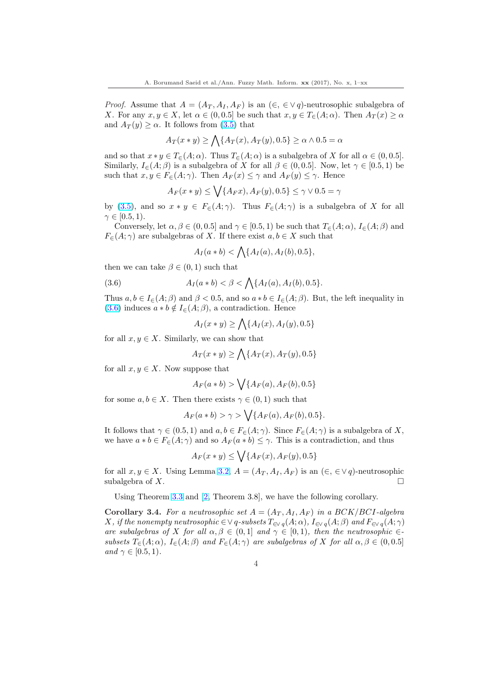*Proof.* Assume that  $A = (A_T, A_I, A_F)$  is an  $(\epsilon, \epsilon \vee q)$ -neutrosophic subalgebra of X. For any  $x, y \in X$ , let  $\alpha \in (0, 0.5]$  be such that  $x, y \in T_{\epsilon}(A; \alpha)$ . Then  $A_T(x) \ge \alpha$ and  $A_T(y) \ge \alpha$ . It follows from [\(3.5\)](#page-2-0) that  $\mathbf{r}$ 

$$
A_T(x*y) \ge \bigwedge \{A_T(x), A_T(y), 0.5\} \ge \alpha \wedge 0.5 = \alpha
$$

and so that  $x * y \in T_{\epsilon}(A; \alpha)$ . Thus  $T_{\epsilon}(A; \alpha)$  is a subalgebra of X for all  $\alpha \in (0, 0.5]$ . Similarly,  $I_{\in}(A;\beta)$  is a subalgebra of X for all  $\beta \in (0,0.5]$ . Now, let  $\gamma \in [0.5,1)$  be such that  $x, y \in F_{\in}(A; \gamma)$ . Then  $A_F(x) \leq \gamma$  and  $A_F(y) \leq \gamma$ . Hence  $\ddot{\phantom{0}}$ 

$$
A_F(x*y) \le \bigvee \{A_Fx), A_F(y), 0.5\} \le \gamma \vee 0.5 = \gamma
$$

by [\(3.5\)](#page-2-0), and so  $x * y \in F_{\in}(A; \gamma)$ . Thus  $F_{\in}(A; \gamma)$  is a subalgebra of X for all  $\gamma \in [0.5, 1).$ 

Conversely, let  $\alpha, \beta \in (0, 0.5]$  and  $\gamma \in [0.5, 1)$  be such that  $T_{\epsilon}(A; \alpha)$ ,  $I_{\epsilon}(A; \beta)$  and  $F_{\in}(A; \gamma)$  are subalgebras of X. If there exist  $a, b \in X$  such that

$$
A_I(a * b) < \bigwedge \{ A_I(a), A_I(b), 0.5 \},
$$

then we can take  $\beta \in (0,1)$  such that

(3.6) 
$$
A_I(a * b) < \beta < \bigwedge \{A_I(a), A_I(b), 0.5\}.
$$

Thus  $a, b \in I_{\in}(A; \beta)$  and  $\beta < 0.5$ , and so  $a * b \in I_{\in}(A; \beta)$ . But, the left inequality in (3.6) induces  $a * b \notin I_{\in}(\mathcal{A}; \beta)$ , a contradiction. Hence  $\mathbf{r}$ 

$$
A_I(x*y) \ge \bigwedge \{A_I(x), A_I(y), 0.5\}
$$

for all  $x, y \in X$ . Similarly, we can show that

$$
A_T(x*y) \ge \bigwedge \{A_T(x), A_T(y), 0.5\}
$$

for all  $x, y \in X$ . Now suppose that

$$
A_F(a * b) > \bigvee \{A_F(a), A_F(b), 0.5\}
$$

for some  $a, b \in X$ . Then there exists  $\gamma \in (0, 1)$  such that

$$
A_F(a * b) > \gamma > \bigvee \{A_F(a), A_F(b), 0.5\}.
$$

It follows that  $\gamma \in (0.5, 1)$  and  $a, b \in F_{\epsilon}(A; \gamma)$ . Since  $F_{\epsilon}(A; \gamma)$  is a subalgebra of X, we have  $a * b \in F_{\in}(A; \gamma)$  and so  $A_F(a * b) \leq \gamma$ . This is a contradiction, and thus  $\ddot{\phantom{0}}$ 

$$
A_F(x*y) \le \bigvee \{A_F(x), A_F(y), 0.5\}
$$

for all  $x, y \in X$ . Using Lemma [3.2,](#page-2-0)  $A = (A_T, A_I, A_F)$  is an  $(\in, \in \vee q)$ -neutrosophic subalgebra of X.  $\Box$ 

Using Theorem [3.3](#page-2-0) and [\[2,](#page-9-0) Theorem 3.8], we have the following corollary.

Corollary 3.4. For a neutrosophic set  $A = (A_T, A_I, A_F)$  in a BCK/BCI-algebra X, if the nonempty neutrosophic  $\in \vee q$ -subsets  $T_{\in \vee q}(A; \alpha)$ ,  $I_{\in \vee q}(A; \beta)$  and  $F_{\in \vee q}(A; \gamma)$ are subalgebras of X for all  $\alpha, \beta \in (0,1]$  and  $\gamma \in [0,1)$ , then the neutrosophic  $\in$ subsets  $T_{\epsilon}(A; \alpha)$ ,  $I_{\epsilon}(A; \beta)$  and  $F_{\epsilon}(A; \gamma)$  are subalgebras of X for all  $\alpha, \beta \in (0, 0.5]$ and  $\gamma \in [0.5, 1)$ .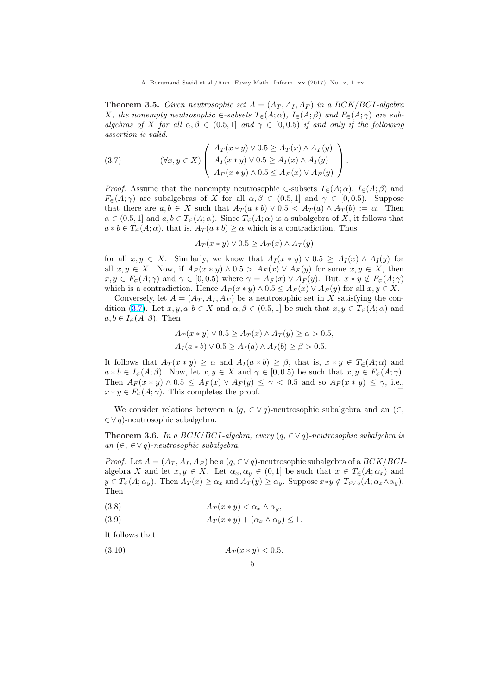<span id="page-4-0"></span>**Theorem 3.5.** Given neutrosophic set  $A = (A_T, A_I, A_F)$  in a BCK/BCI-algebra X, the nonempty neutrosophic  $\in$ -subsets  $T_{\in}(A; \alpha)$ ,  $I_{\in}(A; \beta)$  and  $F_{\in}(A; \gamma)$  are subalgebras of X for all  $\alpha, \beta \in (0.5, 1]$  and  $\gamma \in [0, 0.5]$  if and only if the following assertion is valid.

(3.7) 
$$
(\forall x, y \in X) \left( \begin{array}{c} A_T(x * y) \lor 0.5 \geq A_T(x) \land A_T(y) \\ A_I(x * y) \lor 0.5 \geq A_I(x) \land A_I(y) \\ A_F(x * y) \land 0.5 \leq A_F(x) \lor A_F(y) \end{array} \right).
$$

*Proof.* Assume that the nonempty neutrosophic  $\in$ -subsets  $T_{\in}(A; \alpha)$ ,  $I_{\in}(A; \beta)$  and  $F_{\epsilon}(A;\gamma)$  are subalgebras of X for all  $\alpha,\beta \in (0.5,1]$  and  $\gamma \in [0,0.5)$ . Suppose that there are  $a, b \in X$  such that  $A_T(a * b) \vee 0.5 < A_T(a) \wedge A_T(b) := \alpha$ . Then  $\alpha \in (0.5, 1]$  and  $a, b \in T_{\epsilon}(A; \alpha)$ . Since  $T_{\epsilon}(A; \alpha)$  is a subalgebra of X, it follows that  $a * b \in T<sub>\epsilon</sub>(A; \alpha)$ , that is,  $A_T(a * b) \geq \alpha$  which is a contradiction. Thus

$$
A_T(x * y) \lor 0.5 \ge A_T(x) \land A_T(y)
$$

for all  $x, y \in X$ . Similarly, we know that  $A_I(x * y) \vee 0.5 \geq A_I(x) \wedge A_I(y)$  for all  $x, y \in X$ . Now, if  $A_F(x * y) \wedge 0.5 > A_F(x) \vee A_F(y)$  for some  $x, y \in X$ , then  $x, y \in F_{\in}(A; \gamma)$  and  $\gamma \in [0, 0.5)$  where  $\gamma = A_F(x) \vee A_F(y)$ . But,  $x * y \notin F_{\in}(A; \gamma)$ which is a contradiction. Hence  $A_F(x * y) \wedge 0.5 \leq A_F(x) \vee A_F(y)$  for all  $x, y \in X$ .

Conversely, let  $A = (A_T, A_I, A_F)$  be a neutrosophic set in X satisfying the condition (3.7). Let  $x, y, a, b \in X$  and  $\alpha, \beta \in (0.5, 1]$  be such that  $x, y \in T_{\epsilon}(A; \alpha)$  and  $a, b \in I_{\in}(A; \beta)$ . Then

$$
A_T(x * y) \lor 0.5 \ge A_T(x) \land A_T(y) \ge \alpha > 0.5,
$$
  

$$
A_I(a * b) \lor 0.5 \ge A_I(a) \land A_I(b) \ge \beta > 0.5.
$$

It follows that  $A_T(x * y) \geq \alpha$  and  $A_I(a * b) \geq \beta$ , that is,  $x * y \in T_{\epsilon}(A; \alpha)$  and  $a * b \in I_{\epsilon}(A;\beta)$ . Now, let  $x, y \in X$  and  $\gamma \in [0,0.5)$  be such that  $x, y \in F_{\epsilon}(A;\gamma)$ . Then  $A_F(x * y) \wedge 0.5 \leq A_F(x) \vee A_F(y) \leq \gamma < 0.5$  and so  $A_F(x * y) \leq \gamma$ , i.e.,  $x * y \in F_{\in}(A; \gamma)$ . This completes the proof.

We consider relations between a  $(q, \in \vee q)$ -neutrosophic subalgebra and an  $(\in,$ ∈∨ q)-neutrosophic subalgebra.

Theorem 3.6. In a BCK/BCI-algebra, every  $(q, \in \forall q)$ -neutrosophic subalgebra is an  $(∈, ∈∨ q)$ -neutrosophic subalgebra.

*Proof.* Let  $A = (A_T, A_I, A_F)$  be a  $(q, \in \vee q)$ -neutrosophic subalgebra of a  $BCK/BCI$ algebra X and let  $x, y \in X$ . Let  $\alpha_x, \alpha_y \in (0,1]$  be such that  $x \in T_{\epsilon}(A; \alpha_x)$  and  $y \in T_{\epsilon}(A; \alpha_y)$ . Then  $A_T(x) \geq \alpha_x$  and  $A_T(y) \geq \alpha_y$ . Suppose  $x \ast y \notin T_{\epsilon \vee q}(A; \alpha_x \wedge \alpha_y)$ . Then

$$
(3.8) \t\t\t A_T(x*y) < \alpha_x \wedge \alpha_y,
$$

$$
(3.9) \t\t A_T(x*y) + (\alpha_x \wedge \alpha_y) \le 1.
$$

It follows that

(3.10) 
$$
A_T(x * y) < 0.5
$$
.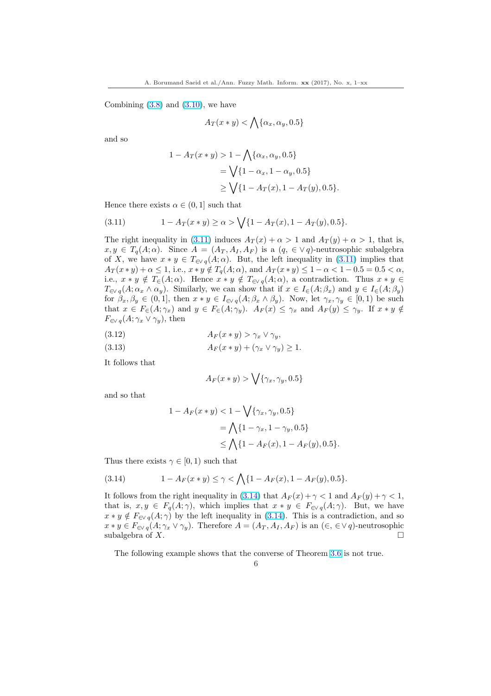<span id="page-5-0"></span>Combining  $(3.8)$  and  $(3.10)$ , we have

$$
A_T(x*y)<\bigwedge\{\alpha_x,\alpha_y,0.5\}
$$

and so

$$
1 - A_T(x * y) > 1 - \bigwedge \{ \alpha_x, \alpha_y, 0.5 \}
$$
  
=  $\bigvee \{ 1 - \alpha_x, 1 - \alpha_y, 0.5 \}$   
 $\ge \bigvee \{ 1 - A_T(x), 1 - A_T(y), 0.5 \}.$ 

Hence there exists  $\alpha \in (0,1]$  such that

(3.11) 
$$
1 - A_T(x * y) \ge \alpha > \sqrt{\{1 - A_T(x), 1 - A_T(y), 0.5\}}.
$$

The right inequality in (3.11) induces  $A_T(x) + \alpha > 1$  and  $A_T(y) + \alpha > 1$ , that is,  $x, y \in T_q(A; \alpha)$ . Since  $A = (A_T, A_I, A_F)$  is a  $(q, \in \vee q)$ -neutrosophic subalgebra of X, we have  $x * y \in T_{\infty q}(A; \alpha)$ . But, the left inequality in (3.11) implies that  $A_T(x * y) + \alpha \leq 1$ , i.e.,  $x * y \notin T_q(A; \alpha)$ , and  $A_T(x * y) \leq 1 - \alpha < 1 - 0.5 = 0.5 < \alpha$ , i.e.,  $x * y \notin T_{\in}(A; \alpha)$ . Hence  $x * y \notin T_{\infty}(\alpha, \alpha)$ , a contradiction. Thus  $x * y \in$  $T_{\in\mathcal{N}}(A;\alpha_x\wedge\alpha_y)$ . Similarly, we can show that if  $x\in I_{\in}(A;\beta_x)$  and  $y\in I_{\in}(A;\beta_y)$ for  $\beta_x, \beta_y \in (0,1]$ , then  $x * y \in I_{\infty}(\mathcal{A}; \beta_x \wedge \beta_y)$ . Now, let  $\gamma_x, \gamma_y \in [0,1)$  be such that  $x \in F_{\in}(A; \gamma_x)$  and  $y \in F_{\in}(A; \gamma_y)$ .  $A_F(x) \leq \gamma_x$  and  $A_F(y) \leq \gamma_y$ . If  $x * y \notin$  $F_{\in \mathcal{V}}(A; \gamma_x \vee \gamma_y)$ , then

$$
(3.12)\quad A_F(x*y) > \gamma_x \vee \gamma_y,
$$

$$
(3.13) \t\t\t A_F(x*y)+(\gamma_x \vee \gamma_y)\geq 1.
$$

It follows that

$$
A_F(x*y) > \bigvee \{ \gamma_x, \gamma_y, 0.5 \}
$$

and so that

$$
1 - A_F(x * y) < 1 - \sqrt{\{\gamma_x, \gamma_y, 0.5\}} \\
= \bigwedge \{1 - \gamma_x, 1 - \gamma_y, 0.5\} \\
\le \bigwedge \{1 - A_F(x), 1 - A_F(y), 0.5\}.
$$

Thus there exists  $\gamma \in [0, 1)$  such that

(3.14) 
$$
1 - A_F(x * y) \leq \gamma < \bigwedge \{1 - A_F(x), 1 - A_F(y), 0.5\}.
$$

It follows from the right inequality in (3.14) that  $A_F(x) + \gamma < 1$  and  $A_F(y) + \gamma < 1$ , that is,  $x, y \in F_q(A; \gamma)$ , which implies that  $x * y \in F_{\in \mathcal{S}_q}(A; \gamma)$ . But, we have  $x * y \notin F_{\in \mathcal{N}}(A; \gamma)$  by the left inequality in  $(3.14)$ . This is a contradiction, and so  $x * y \in F_{\in \mathcal{N}}(A; \gamma_x \vee \gamma_y)$ . Therefore  $A = (A_T, A_I, A_F)$  is an  $(\in, \in \mathcal{N}q)$ -neutrosophic subalgebra of X.  $\Box$ 

The following example shows that the converse of Theorem [3.6](#page-4-0) is not true.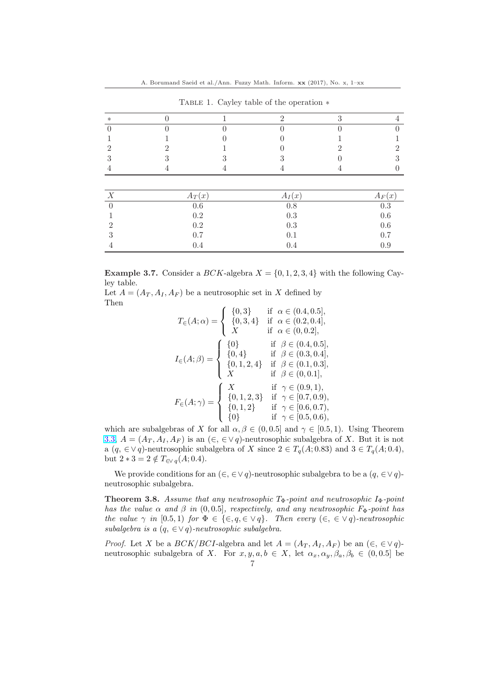A. Borumand Saeid et al./Ann. Fuzzy Math. Inform. xx (2017), No. x, 1–xx

|        |          | Thomas. Only value of the operation. |           |
|--------|----------|--------------------------------------|-----------|
| $\ast$ |          |                                      |           |
|        |          |                                      |           |
|        |          |                                      |           |
|        |          |                                      |           |
|        |          |                                      |           |
|        |          |                                      |           |
|        |          |                                      |           |
|        | $A_T(x)$ | $A_I(x)$                             | $A_F(x)$  |
|        | 0.6      | $0.8\,$                              | $\rm 0.3$ |

TABLE 1. Cayley table of the operation  $∗$ 

|   | 0.2 | 0.3 | 0.6 |
|---|-----|-----|-----|
| റ | 0.2 | 0.3 | 0.6 |
| 3 | 0.7 | 0.1 | 0.7 |
|   | 0.4 | 0.4 | 0.9 |
|   |     |     |     |

**Example 3.7.** Consider a *BCK*-algebra  $X = \{0, 1, 2, 3, 4\}$  with the following Cayley table.

Let  $A = (A_T, A_I, A_F)$  be a neutrosophic set in X defined by Then  $\overline{a}$ 

$$
T_{\in}(A; \alpha) = \begin{cases} \{0,3\} & \text{if } \alpha \in (0.4, 0.5], \\ \{0,3,4\} & \text{if } \alpha \in (0.2, 0.4], \\ X & \text{if } \alpha \in (0.2, 0.4], \\ \{0,4\} & \text{if } \beta \in (0.4, 0.5], \\ \{0,4\} & \text{if } \beta \in (0.3, 0.4], \\ \{0,1,2,4\} & \text{if } \beta \in (0.1, 0.3], \\ X & \text{if } \beta \in (0.0, 1], \\ \{0,1,2,3\} & \text{if } \gamma \in (0.9, 1), \\ \{0,1,2\} & \text{if } \gamma \in [0.7, 0.9), \\ \{0\} & \text{if } \gamma \in [0.6, 0.7), \\ \{0\} & \text{if } \gamma \in [0.5, 0.6), \end{cases}
$$

which are subalgebras of X for all  $\alpha, \beta \in (0, 0.5]$  and  $\gamma \in [0.5, 1)$ . Using Theorem [3.3,](#page-2-0)  $A = (A_T, A_I, A_F)$  is an  $(\epsilon, \epsilon \vee q)$ -neutrosophic subalgebra of X. But it is not a  $(q, \in \vee q)$ -neutrosophic subalgebra of X since  $2 \in T_q(A; 0.83)$  and  $3 \in T_q(A; 0.4)$ , but  $2 * 3 = 2 \notin T_{\infty q}(A; 0.4)$ .

We provide conditions for an  $(\in, \in \vee q)$ -neutrosophic subalgebra to be a  $(q, \in \vee q)$ neutrosophic subalgebra.

**Theorem 3.8.** Assume that any neutrosophic  $T_{\Phi}$ -point and neutrosophic  $I_{\Phi}$ -point has the value  $\alpha$  and  $\beta$  in (0,0.5], respectively, and any neutrosophic  $F_{\Phi}$ -point has the value  $\gamma$  in [0.5, 1] for  $\Phi \in \{\in, q \in \vee q\}$ . Then every  $(\in, \in \vee q)$ -neutrosophic subalgebra is a  $(q, \in \vee q)$ -neutrosophic subalgebra.

*Proof.* Let X be a  $BCK/BCI$ -algebra and let  $A = (A_T, A_I, A_F)$  be an  $(\epsilon, \epsilon \vee q)$ neutrosophic subalgebra of X. For  $x, y, a, b \in X$ , let  $\alpha_x, \alpha_y, \beta_a, \beta_b \in (0, 0.5]$  be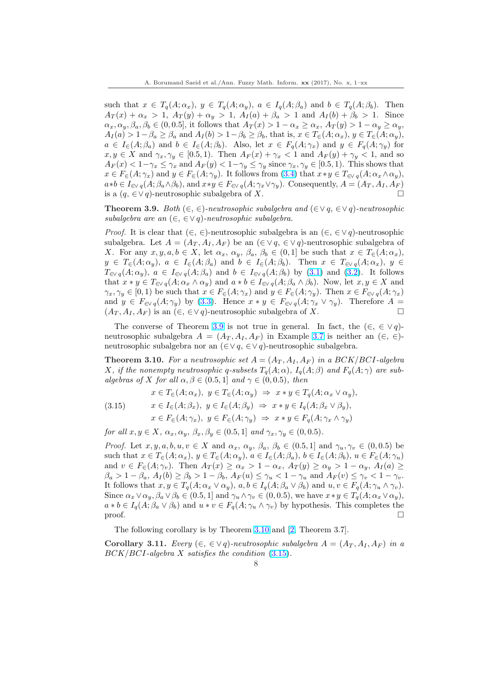<span id="page-7-0"></span>such that  $x \in T_q(A; \alpha_x)$ ,  $y \in T_q(A; \alpha_y)$ ,  $a \in I_q(A; \beta_a)$  and  $b \in T_q(A; \beta_b)$ . Then  $A_T(x) + \alpha_x > 1$ ,  $A_T(y) + \alpha_y > 1$ ,  $A_T(a) + \beta_a > 1$  and  $A_T(b) + \beta_b > 1$ . Since  $\alpha_x, \alpha_y, \beta_a, \beta_b \in (0, 0.5]$ , it follows that  $A_T(x) > 1 - \alpha_x \ge \alpha_x$ ,  $A_T(y) > 1 - \alpha_y \ge \alpha_y$ ,  $A_I(a) > 1-\beta_a \geq \beta_a$  and  $A_I(b) > 1-\beta_b \geq \beta_b$ , that is,  $x \in T_{\epsilon}(A; \alpha_x), y \in T_{\epsilon}(A; \alpha_y)$ ,  $a \in I_{\in}(A;\beta_a)$  and  $b \in I_{\in}(A;\beta_b)$ . Also, let  $x \in F_q(A;\gamma_x)$  and  $y \in F_q(A;\gamma_y)$  for  $x, y \in X$  and  $\gamma_x, \gamma_y \in [0.5, 1)$ . Then  $A_F(x) + \gamma_x < 1$  and  $A_F(y) + \gamma_y < 1$ , and so  $A_F(x) < 1-\gamma_x \leq \gamma_x$  and  $A_F(y) < 1-\gamma_y \leq \gamma_y$  since  $\gamma_x, \gamma_y \in [0.5, 1)$ . This shows that  $x \in F_{\in}(A; \gamma_x)$  and  $y \in F_{\in}(A; \gamma_y)$ . It follows from  $(3.4)$  that  $x * y \in T_{\infty,q}(A; \alpha_x \wedge \alpha_y)$ ,  $a*b \in I_{\in \mathcal{N}}(A;\beta_a \wedge \beta_b)$ , and  $x*y \in F_{\in \mathcal{N}}(A;\gamma_x \vee \gamma_y)$ . Consequently,  $A = (A_T, A_I, A_F)$ is a  $(q, \in \vee q)$ -neutrosophic subalgebra of X.  $□$ 

**Theorem 3.9.** Both  $(\in, \in)$ -neutrosophic subalgebra and  $(\in \vee q, \in \vee q)$ -neutrosophic subalgebra are an  $(\in, \in \vee q)$ -neutrosophic subalgebra.

*Proof.* It is clear that  $(\in, \in)$ -neutrosophic subalgebra is an  $(\in, \in \vee q)$ -neutrosophic subalgebra. Let  $A = (A_T, A_I, A_F)$  be an  $(\in \vee q, \in \vee q)$ -neutrosophic subalgebra of X. For any  $x, y, a, b \in X$ , let  $\alpha_x, \alpha_y, \beta_a, \beta_b \in (0,1]$  be such that  $x \in T_{\epsilon}(A; \alpha_x)$ ,  $y \in T_{\in}(A; \alpha_y), a \in I_{\in}(A; \beta_a)$  and  $b \in I_{\in}(A; \beta_b)$ . Then  $x \in T_{\in \mathcal{N}_q}(A; \alpha_x), y \in$  $T_{\in\mathcal{N}}(A;\alpha_y), a \in I_{\in\mathcal{N}}(A;\beta_a)$  and  $b \in I_{\in\mathcal{N}}(A;\beta_b)$  by  $(3.1)$  and  $(3.2)$ . It follows that  $x * y \in T_{\infty q}(A; \alpha_x \wedge \alpha_y)$  and  $a * b \in I_{\infty q}(A; \beta_a \wedge \beta_b)$ . Now, let  $x, y \in X$  and  $\gamma_x, \gamma_y \in [0, 1)$  be such that  $x \in F_{\in}(A; \gamma_x)$  and  $y \in F_{\in}(A; \gamma_y)$ . Then  $x \in F_{\in \mathcal{N}}(A; \gamma_x)$ and  $y \in F_{\in \mathcal{S}_q}(A; \gamma_y)$  by [\(3.3\)](#page-2-0). Hence  $x * y \in F_{\in \mathcal{S}_q}(A; \gamma_x \vee \gamma_y)$ . Therefore  $A =$  $(A_T, A_I, A_F)$  is an  $(\epsilon, \epsilon \vee q)$ -neutrosophic subalgebra of X.

The converse of Theorem 3.9 is not true in general. In fact, the  $(\in, \in \vee q)$ neutrosophic subalgebra  $A = (A_T, A_I, A_F)$  in Example [3.7](#page-5-0) is neither an  $(\in, \in)$ neutrosophic subalgebra nor an  $(∈∨ q, ∈∨ q)$ -neutrosophic subalgebra.

**Theorem 3.10.** For a neutrosophic set  $A = (A_T, A_I, A_F)$  in a BCK/BCI-algebra X, if the nonempty neutrosophic q-subsets  $T_q(A; \alpha)$ ,  $I_q(A; \beta)$  and  $F_q(A; \gamma)$  are subalgebras of X for all  $\alpha, \beta \in (0.5, 1]$  and  $\gamma \in (0, 0.5)$ , then

$$
x \in T_{\in}(A; \alpha_x), y \in T_{\in}(A; \alpha_y) \Rightarrow x * y \in T_q(A; \alpha_x \vee \alpha_y),
$$

(3.15) 
$$
x \in I_{\in}(A; \beta_x), y \in I_{\in}(A; \beta_y) \Rightarrow x * y \in I_q(A; \beta_x \vee \beta_y),
$$

$$
x \in F_{\in}(A; \gamma_x), y \in F_{\in}(A; \gamma_y) \Rightarrow x * y \in F_q(A; \gamma_x \wedge \gamma_y)
$$

for all  $x, y \in X$ ,  $\alpha_x, \alpha_y, \beta_x, \beta_y \in (0.5, 1]$  and  $\gamma_x, \gamma_y \in (0, 0.5)$ .

*Proof.* Let  $x, y, a, b, u, v \in X$  and  $\alpha_x, \alpha_y, \beta_a, \beta_b \in (0.5, 1]$  and  $\gamma_u, \gamma_v \in (0, 0.5)$  be such that  $x \in T_{\epsilon}(A; \alpha_x), y \in T_{\epsilon}(A; \alpha_y), a \in I_{\epsilon}(A; \beta_a), b \in I_{\epsilon}(A; \beta_b), u \in F_{\epsilon}(A; \gamma_u)$ and  $v \in F_{\in}(A; \gamma_v)$ . Then  $A_T(x) \ge \alpha_x > 1 - \alpha_x$ ,  $A_T(y) \ge \alpha_y > 1 - \alpha_y$ ,  $A_T(a) \ge$  $\beta_a > 1 - \beta_a$ ,  $A_I(b) \ge \beta_b > 1 - \beta_b$ ,  $A_F(u) \le \gamma_u < 1 - \gamma_u$  and  $A_F(v) \le \gamma_v < 1 - \gamma_v$ . It follows that  $x, y \in T_q(A; \alpha_x \vee \alpha_y), a, b \in I_q(A; \beta_a \vee \beta_b)$  and  $u, v \in F_q(A; \gamma_u \wedge \gamma_v)$ . Since  $\alpha_x \vee \alpha_y$ ,  $\beta_a \vee \beta_b \in (0.5, 1]$  and  $\gamma_u \wedge \gamma_v \in (0, 0.5)$ , we have  $x \ast y \in T_a(A; \alpha_x \vee \alpha_y)$ ,  $a * b \in I_q(A; \beta_a \vee \beta_b)$  and  $u * v \in F_q(A; \gamma_u \wedge \gamma_v)$  by hypothesis. This completes the  $\Box$ 

The following corollary is by Theorem 3.10 and [\[2,](#page-9-0) Theorem 3.7].

Corollary 3.11. Every  $(\in, \in \vee q)$ -neutrosophic subalgebra  $A = (A_T, A_I, A_F)$  in a  $BCK/BCI$ -algebra X satisfies the condition  $(3.15)$ .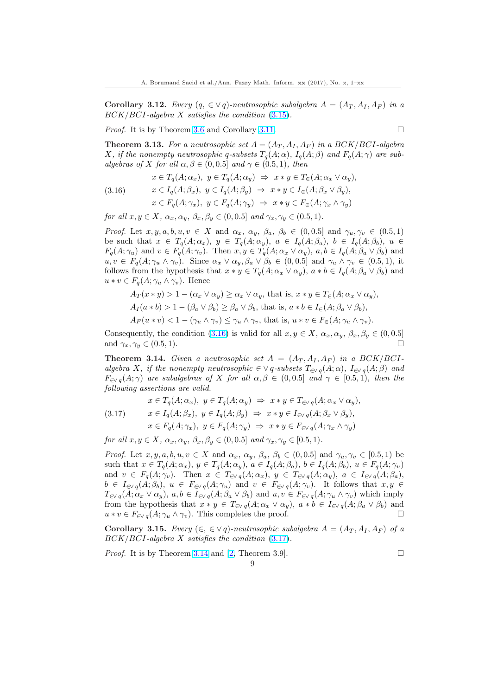<span id="page-8-0"></span>Corollary 3.12. Every  $(q, \in \forall q)$ -neutrosophic subalgebra  $A = (A_T, A_I, A_F)$  in a  $BCK/BCI$ -algebra X satisfies the condition  $(3.15)$ .

Proof. It is by Theorem [3.6](#page-4-0) and Corollary [3.11.](#page-7-0)

$$
\Box
$$

**Theorem 3.13.** For a neutrosophic set  $A = (A_T, A_I, A_F)$  in a BCK/BCI-algebra X, if the nonempty neutrosophic q-subsets  $T_q(A; \alpha)$ ,  $I_q(A; \beta)$  and  $F_q(A; \gamma)$  are subalgebras of X for all  $\alpha, \beta \in (0, 0.5]$  and  $\gamma \in (0.5, 1)$ , then

(3.16) 
$$
x \in T_q(A; \alpha_x), y \in T_q(A; \alpha_y) \Rightarrow x * y \in T_{\in}(A; \alpha_x \vee \alpha_y),
$$

$$
x \in I_q(A; \beta_x), y \in I_q(A; \beta_y) \Rightarrow x * y \in I_{\in}(A; \beta_x \vee \beta_y),
$$

$$
x \in F_q(A; \gamma_x), y \in F_q(A; \gamma_y) \Rightarrow x * y \in F_{\in}(A; \gamma_x \wedge \gamma_y)
$$

for all  $x, y \in X$ ,  $\alpha_x, \alpha_y, \beta_x, \beta_y \in (0, 0.5]$  and  $\gamma_x, \gamma_y \in (0.5, 1)$ .

*Proof.* Let  $x, y, a, b, u, v \in X$  and  $\alpha_x, \alpha_y, \beta_a, \beta_b \in (0, 0.5]$  and  $\gamma_u, \gamma_v \in (0.5, 1)$ be such that  $x \in T_q(A; \alpha_x)$ ,  $y \in T_q(A; \alpha_y)$ ,  $a \in I_q(A; \beta_a)$ ,  $b \in I_q(A; \beta_b)$ ,  $u \in$  $F_q(A; \gamma_u)$  and  $v \in F_q(A; \gamma_v)$ . Then  $x, y \in T_q(A; \alpha_x \vee \alpha_y)$ ,  $a, b \in I_q(A; \beta_a \vee \beta_b)$  and  $u, v \in F_q(A; \gamma_u \wedge \gamma_v)$ . Since  $\alpha_x \vee \alpha_y, \beta_a \vee \beta_b \in (0, 0.5]$  and  $\gamma_u \wedge \gamma_v \in (0.5, 1)$ , it follows from the hypothesis that  $x * y \in T_a(A; \alpha_x \vee \alpha_y)$ ,  $a * b \in I_a(A; \beta_a \vee \beta_b)$  and  $u * v \in F_q(A; \gamma_u \wedge \gamma_v)$ . Hence

$$
A_T(x * y) > 1 - (\alpha_x \vee \alpha_y) \ge \alpha_x \vee \alpha_y, \text{ that is, } x * y \in T_{\in}(A; \alpha_x \vee \alpha_y),
$$
  
\n
$$
A_I(a * b) > 1 - (\beta_a \vee \beta_b) \ge \beta_a \vee \beta_b, \text{ that is, } a * b \in I_{\in}(A; \beta_a \vee \beta_b),
$$
  
\n
$$
A_F(u * v) < 1 - (\gamma_u \wedge \gamma_v) \le \gamma_u \wedge \gamma_v, \text{ that is, } u * v \in F_{\in}(A; \gamma_u \wedge \gamma_v).
$$

Consequently, the condition (3.16) is valid for all  $x, y \in X$ ,  $\alpha_x, \alpha_y, \beta_x, \beta_y \in (0, 0.5]$ and  $\gamma_x, \gamma_y \in (0.5, 1)$ .

**Theorem 3.14.** Given a neutrosophic set  $A = (A_T, A_I, A_F)$  in a BCK/BCIalgebra X, if the nonempty neutrosophic  $\in \vee q$ -subsets  $T_{\in \vee q}(A; \alpha)$ ,  $I_{\in \vee q}(A; \beta)$  and  $F_{\in V}$  q(A;  $\gamma$ ) are subalgebras of X for all  $\alpha, \beta \in (0, 0.5]$  and  $\gamma \in [0.5, 1)$ , then the following assertions are valid.

$$
x \in T_q(A; \alpha_x), y \in T_q(A; \alpha_y) \Rightarrow x * y \in T_{\infty q}(A; \alpha_x \vee \alpha_y),
$$
  
(3.17) 
$$
x \in I_q(A; \beta_x), y \in I_q(A; \beta_y) \Rightarrow x * y \in I_{\infty q}(A; \beta_x \vee \beta_y),
$$

$$
x \in F_q(A; \gamma_x), y \in F_q(A; \gamma_y) \Rightarrow x * y \in F_{\infty q}(A; \gamma_x \wedge \gamma_y)
$$

for all  $x, y \in X$ ,  $\alpha_x, \alpha_y, \beta_x, \beta_y \in (0, 0.5]$  and  $\gamma_x, \gamma_y \in [0.5, 1)$ .

*Proof.* Let  $x, y, a, b, u, v \in X$  and  $\alpha_x, \alpha_y, \beta_a, \beta_b \in (0, 0.5]$  and  $\gamma_u, \gamma_v \in [0.5, 1)$  be such that  $x \in T_q(A; \alpha_x)$ ,  $y \in T_q(A; \alpha_y)$ ,  $a \in I_q(A; \beta_a)$ ,  $b \in I_q(A; \beta_b)$ ,  $u \in F_q(A; \gamma_u)$ and  $v \in F_q(A; \gamma_v)$ . Then  $x \in T_{\in \mathcal{N}_q}(A; \alpha_x), y \in T_{\in \mathcal{N}_q}(A; \alpha_y), a \in I_{\in \mathcal{N}_q}(A; \beta_a)$ ,  $b \in I_{\in \mathcal{N}}(A;\beta_b), u \in F_{\in \mathcal{N}}(A;\gamma_u)$  and  $v \in F_{\in \mathcal{N}}(A;\gamma_v)$ . It follows that  $x, y \in$  $T_{\in \mathcal{N}}(A; \alpha_x \vee \alpha_y), a, b \in I_{\in \mathcal{N}}(A; \beta_a \vee \beta_b)$  and  $u, v \in F_{\in \mathcal{N}}(A; \gamma_u \wedge \gamma_v)$  which imply from the hypothesis that  $x * y \in T_{\infty q}(A; \alpha_x \vee \alpha_y)$ ,  $a * b \in I_{\infty q}(A; \beta_a \vee \beta_b)$  and  $u * v \in F_{\in \mathcal{V}}_q(A; \gamma_u \wedge \gamma_v)$ . This completes the proof.  $\Box$ 

Corollary 3.15. Every  $(\in, \in \vee q)$ -neutrosophic subalgebra  $A = (A_T, A_I, A_F)$  of a  $BCK/BCI$ -algebra X satisfies the condition  $(3.17)$ .

*Proof.* It is by Theorem 3.14 and [\[2,](#page-9-0) Theorem 3.9].  $\Box$